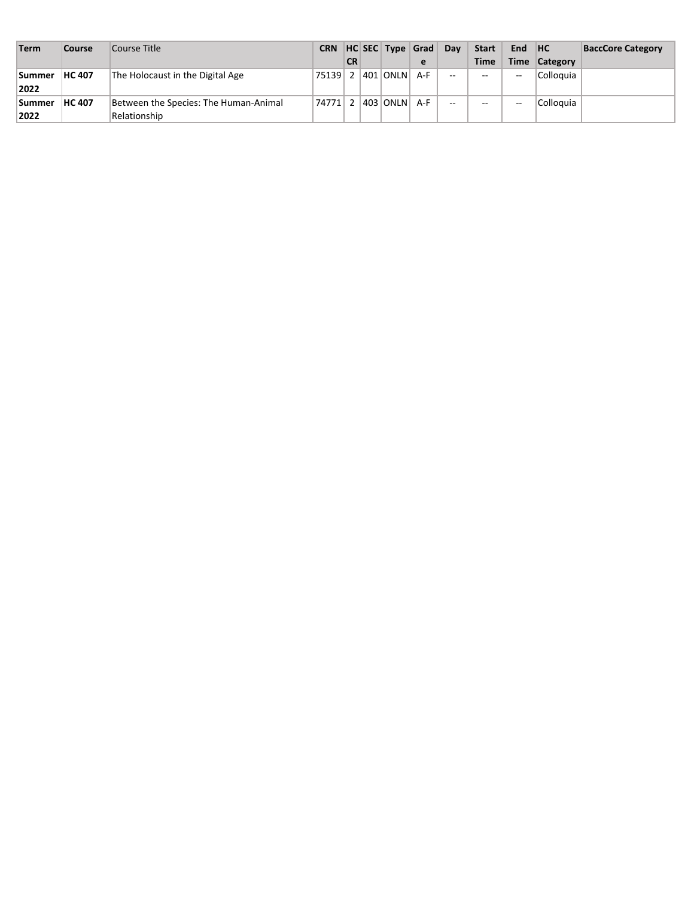| Term          | Course        | Course Title                          | <b>CRN</b>           |           | HC SEC   Type   Grad |   | Day           | Start                    | <b>End</b>               | H <sub>C</sub> | <b>BaccCore Category</b> |
|---------------|---------------|---------------------------------------|----------------------|-----------|----------------------|---|---------------|--------------------------|--------------------------|----------------|--------------------------|
|               |               |                                       |                      | <b>CR</b> |                      | e |               | <b>Time</b>              |                          | Time Category  |                          |
| <b>Summer</b> | <b>HC 407</b> | The Holocaust in the Digital Age      | 75139                |           | 2 401 ONLN A-F       |   | $\sim$ $\sim$ | $- -$                    | $- -$                    | Colloquia      |                          |
| 2022          |               |                                       |                      |           |                      |   |               |                          |                          |                |                          |
| <b>Summer</b> | <b>HC 407</b> | Between the Species: The Human-Animal | 74771 2 403 ONLN A-F |           |                      |   | $\sim$        | $\overline{\phantom{m}}$ | $\overline{\phantom{a}}$ | Colloguia      |                          |
| 2022          |               | Relationship                          |                      |           |                      |   |               |                          |                          |                |                          |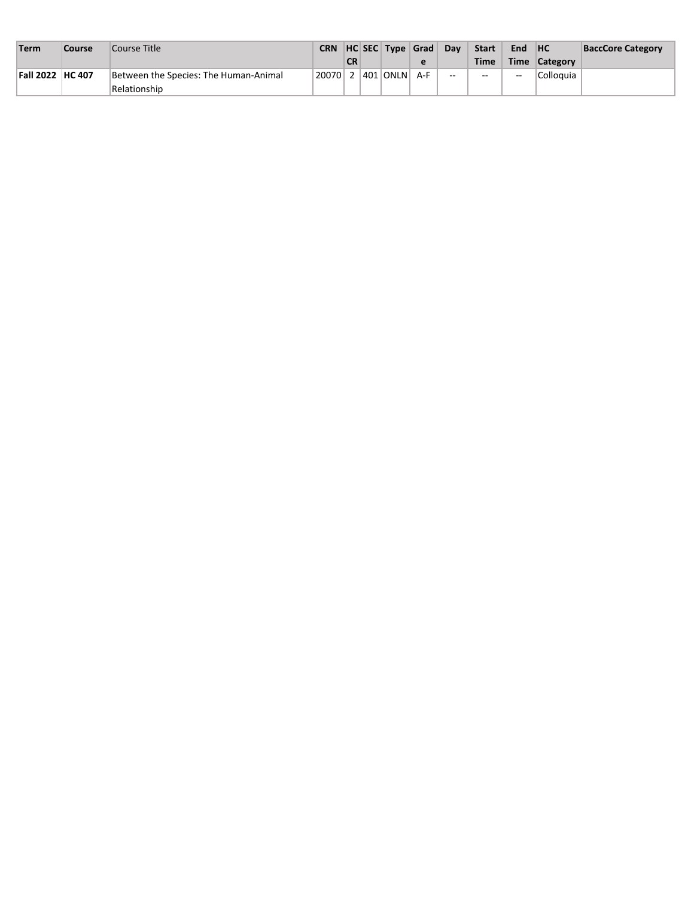| Term                    | Course | Course Title                          |                      |           | CRN HC SEC Type Grad |   | Day           | <b>Start</b> | End         | <b>HC</b>       | <b>BaccCore Category</b> |
|-------------------------|--------|---------------------------------------|----------------------|-----------|----------------------|---|---------------|--------------|-------------|-----------------|--------------------------|
|                         |        |                                       |                      | <b>CR</b> |                      | е |               | <b>Time</b>  | <b>Time</b> | <b>Category</b> |                          |
| <b>Fall 2022 HC 407</b> |        | Between the Species: The Human-Animal | 20070 2 401 ONLN A-F |           |                      |   | $\sim$ $\sim$ | $-1$         | $\sim$ $-$  | Colloguia       |                          |
|                         |        | Relationship                          |                      |           |                      |   |               |              |             |                 |                          |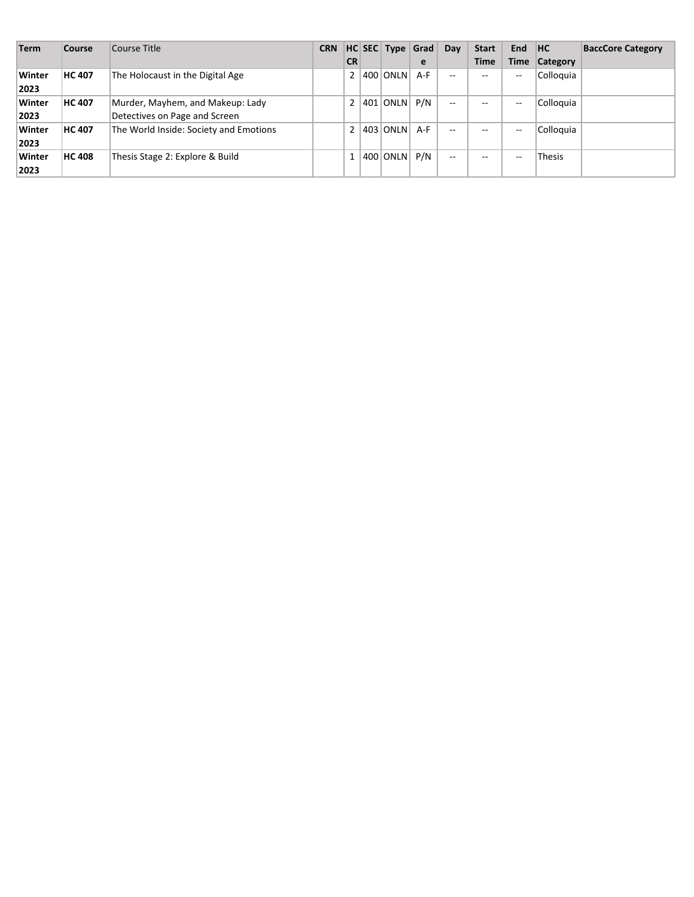| <b>Term</b> | Course        | Course Title                           | <b>CRN</b> |                |     | HC SEC Type Grad |     | Day   | <b>Start</b> | <b>End</b>  | <b>HC</b>     | <b>BaccCore Category</b> |
|-------------|---------------|----------------------------------------|------------|----------------|-----|------------------|-----|-------|--------------|-------------|---------------|--------------------------|
|             |               |                                        |            | <b>CR</b>      |     |                  | e   |       | <b>Time</b>  | <b>Time</b> | Category      |                          |
| Winter      | <b>HC 407</b> | The Holocaust in the Digital Age       |            | 2 <sup>1</sup> |     | 400 ONLN         | A-F | --    | --           | $-$         | Colloquia     |                          |
| 2023        |               |                                        |            |                |     |                  |     |       |              |             |               |                          |
| Winter      | <b>HC 407</b> | Murder, Mayhem, and Makeup: Lady       |            | 2 <sup>1</sup> | 401 | ONLN P/N         |     | $- -$ | --           | $- -$       | Colloquia     |                          |
| 2023        |               | Detectives on Page and Screen          |            |                |     |                  |     |       |              |             |               |                          |
| Winter      | <b>HC 407</b> | The World Inside: Society and Emotions |            | 2 <sup>1</sup> |     | 403 ONLN A-F     |     | $-$   | --           | $- -$       | Colloquia     |                          |
| 2023        |               |                                        |            |                |     |                  |     |       |              |             |               |                          |
| Winter      | <b>HC 408</b> | Thesis Stage 2: Explore & Build        |            |                |     | $400$ ONLN $P/N$ |     | $- -$ | $- -$        | $-$         | <b>Thesis</b> |                          |
| 2023        |               |                                        |            |                |     |                  |     |       |              |             |               |                          |